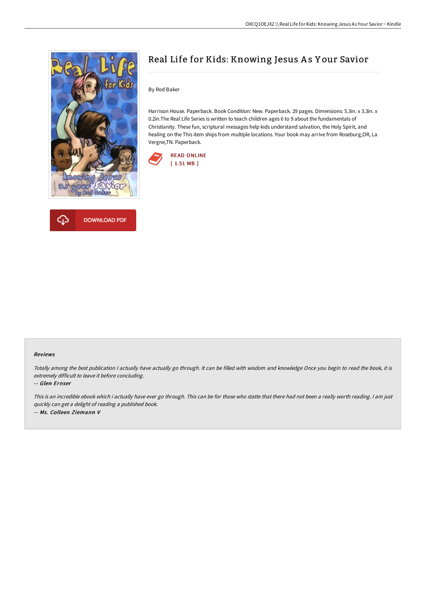



# Real Life for Kids: Knowing Jesus A s Y our Savior

By Rod Baker

Harrison House. Paperback. Book Condition: New. Paperback. 29 pages. Dimensions: 5.3in. x 3.3in. x 0.2in.The Real Life Series is written to teach children ages 6 to 9 about the fundamentals of Christianity. These fun, scriptural messages help kids understand salvation, the Holy Spirit, and healing on the This item ships from multiple locations. Your book may arrive from Roseburg,OR, La Vergne,TN. Paperback.



#### Reviews

Totally among the best publication <sup>I</sup> actually have actually go through. It can be filled with wisdom and knowledge Once you begin to read the book, it is extremely difficult to leave it before concluding.

-- Glen Ernser

This is an incredible ebook which i actually have ever go through. This can be for those who statte that there had not been <sup>a</sup> really worth reading. <sup>I</sup> am just quickly can get <sup>a</sup> delight of reading <sup>a</sup> published book. -- Ms. Colleen Ziemann V